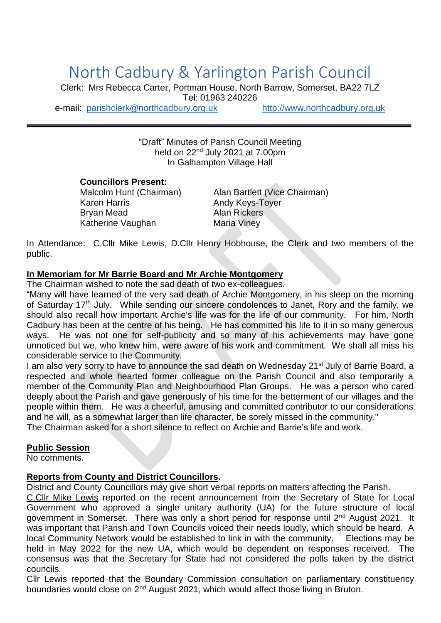# North Cadbury & Yarlington Parish Council

Clerk: Mrs Rebecca Carter, Portman House, North Barrow, Somerset, BA22 7LZ Tel: 01963 240226

e-mail: [parishclerk@northcadbury.org.uk](mailto:parishclerk@northcadbury.org.uk) [http://www.northcadbury.org.uk](http://www.northcadbury.org.uk/)

"Draft" Minutes of Parish Council Meeting held on 22<sup>nd</sup> July 2021 at 7.00pm In Galhampton Village Hall

#### **Councillors Present:**

Karen Harris **Andy Keys-Toyer** Bryan Mead Alan Rickers Katherine Vaughan Maria Viney

Malcolm Hunt (Chairman) Alan Bartlett (Vice Chairman)

In Attendance: C.Cllr Mike Lewis, D.Cllr Henry Hobhouse, the Clerk and two members of the public.

# **In Memoriam for Mr Barrie Board and Mr Archie Montgomery**

The Chairman wished to note the sad death of two ex-colleagues.

"Many will have learned of the very sad death of Archie Montgomery, in his sleep on the morning of Saturday 17<sup>th</sup> July. While sending our sincere condolences to Janet, Rory and the family, we should also recall how important Archie's life was for the life of our community. For him, North Cadbury has been at the centre of his being. He has committed his life to it in so many generous ways. He was not one for self-publicity and so many of his achievements may have gone unnoticed but we, who knew him, were aware of his work and commitment. We shall all miss his considerable service to the Community.

I am also very sorry to have to announce the sad death on Wednesday 21<sup>st</sup> July of Barrie Board, a respected and whole hearted former colleague on the Parish Council and also temporarily a member of the Community Plan and Neighbourhood Plan Groups. He was a person who cared deeply about the Parish and gave generously of his time for the betterment of our villages and the people within them. He was a cheerful, amusing and committed contributor to our considerations and he will, as a somewhat larger than life character, be sorely missed in the community."

The Chairman asked for a short silence to reflect on Archie and Barrie's life and work.

#### **Public Session**

No comments.

#### **Reports from County and District Councillors.**

District and County Councillors may give short verbal reports on matters affecting the Parish.

C.Cllr Mike Lewis reported on the recent announcement from the Secretary of State for Local Government who approved a single unitary authority (UA) for the future structure of local government in Somerset. There was only a short period for response until 2<sup>nd</sup> August 2021. It was important that Parish and Town Councils voiced their needs loudly, which should be heard. A local Community Network would be established to link in with the community. Elections may be held in May 2022 for the new UA, which would be dependent on responses received. The consensus was that the Secretary for State had not considered the polls taken by the district councils.

Cllr Lewis reported that the Boundary Commission consultation on parliamentary constituency boundaries would close on 2<sup>nd</sup> August 2021, which would affect those living in Bruton.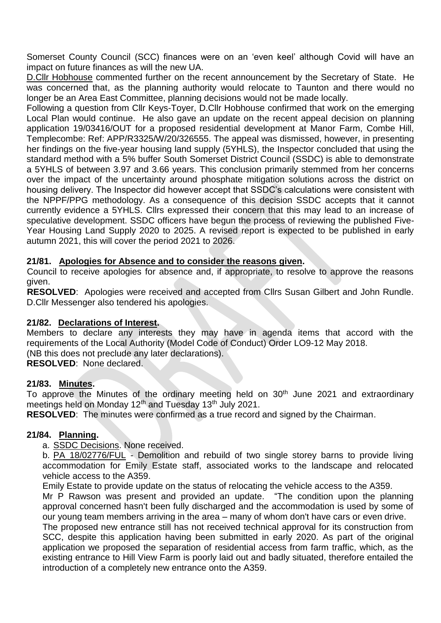Somerset County Council (SCC) finances were on an 'even keel' although Covid will have an impact on future finances as will the new UA.

D.Cllr Hobhouse commented further on the recent announcement by the Secretary of State. He was concerned that, as the planning authority would relocate to Taunton and there would no longer be an Area East Committee, planning decisions would not be made locally.

Following a question from Cllr Keys-Toyer, D.Cllr Hobhouse confirmed that work on the emerging Local Plan would continue. He also gave an update on the recent appeal decision on planning application 19/03416/OUT for a proposed residential development at Manor Farm, Combe Hill, Templecombe: Ref: APP/R3325/W/20/326555. The appeal was dismissed, however, in presenting her findings on the five-year housing land supply (5YHLS), the Inspector concluded that using the standard method with a 5% buffer South Somerset District Council (SSDC) is able to demonstrate a 5YHLS of between 3.97 and 3.66 years. This conclusion primarily stemmed from her concerns over the impact of the uncertainty around phosphate mitigation solutions across the district on housing delivery. The Inspector did however accept that SSDC's calculations were consistent with the NPPF/PPG methodology. As a consequence of this decision SSDC accepts that it cannot currently evidence a 5YHLS. Cllrs expressed their concern that this may lead to an increase of speculative development. SSDC officers have begun the process of reviewing the published Five-Year Housing Land Supply 2020 to 2025. A revised report is expected to be published in early autumn 2021, this will cover the period 2021 to 2026.

#### **21/81. Apologies for Absence and to consider the reasons given.**

Council to receive apologies for absence and, if appropriate, to resolve to approve the reasons given.

**RESOLVED**: Apologies were received and accepted from Cllrs Susan Gilbert and John Rundle. D.Cllr Messenger also tendered his apologies.

#### **21/82. Declarations of Interest.**

Members to declare any interests they may have in agenda items that accord with the requirements of the Local Authority (Model Code of Conduct) Order LO9-12 May 2018. (NB this does not preclude any later declarations).

**RESOLVED**: None declared.

#### **21/83. Minutes.**

To approve the Minutes of the ordinary meeting held on 30<sup>th</sup> June 2021 and extraordinary meetings held on Monday 12<sup>th</sup> and Tuesday 13<sup>th</sup> July 2021.

**RESOLVED**: The minutes were confirmed as a true record and signed by the Chairman.

## **21/84. Planning.**

a. SSDC Decisions. None received.

b. PA 18/02776/FUL - Demolition and rebuild of two single storey barns to provide living accommodation for Emily Estate staff, associated works to the landscape and relocated vehicle access to the A359.

Emily Estate to provide update on the status of relocating the vehicle access to the A359.

Mr P Rawson was present and provided an update. "The condition upon the planning approval concerned hasn't been fully discharged and the accommodation is used by some of our young team members arriving in the area – many of whom don't have cars or even drive.

The proposed new entrance still has not received technical approval for its construction from SCC, despite this application having been submitted in early 2020. As part of the original application we proposed the separation of residential access from farm traffic, which, as the existing entrance to Hill View Farm is poorly laid out and badly situated, therefore entailed the introduction of a completely new entrance onto the A359.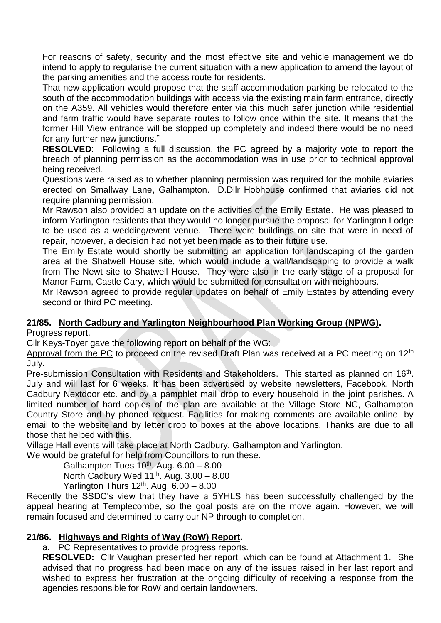For reasons of safety, security and the most effective site and vehicle management we do intend to apply to regularise the current situation with a new application to amend the layout of the parking amenities and the access route for residents.

That new application would propose that the staff accommodation parking be relocated to the south of the accommodation buildings with access via the existing main farm entrance, directly on the A359. All vehicles would therefore enter via this much safer junction while residential and farm traffic would have separate routes to follow once within the site. It means that the former Hill View entrance will be stopped up completely and indeed there would be no need for any further new junctions."

**RESOLVED**: Following a full discussion, the PC agreed by a majority vote to report the breach of planning permission as the accommodation was in use prior to technical approval being received.

Questions were raised as to whether planning permission was required for the mobile aviaries erected on Smallway Lane, Galhampton. D.Dllr Hobhouse confirmed that aviaries did not require planning permission.

Mr Rawson also provided an update on the activities of the Emily Estate. He was pleased to inform Yarlington residents that they would no longer pursue the proposal for Yarlington Lodge to be used as a wedding/event venue. There were buildings on site that were in need of repair, however, a decision had not yet been made as to their future use.

The Emily Estate would shortly be submitting an application for landscaping of the garden area at the Shatwell House site, which would include a wall/landscaping to provide a walk from The Newt site to Shatwell House. They were also in the early stage of a proposal for Manor Farm, Castle Cary, which would be submitted for consultation with neighbours.

Mr Rawson agreed to provide regular updates on behalf of Emily Estates by attending every second or third PC meeting.

## **21/85. North Cadbury and Yarlington Neighbourhood Plan Working Group (NPWG).**

Progress report.

Cllr Keys-Toyer gave the following report on behalf of the WG:

Approval from the PC to proceed on the revised Draft Plan was received at a PC meeting on  $12<sup>th</sup>$ July.

Pre-submission Consultation with Residents and Stakeholders. This started as planned on 16<sup>th</sup>. July and will last for 6 weeks. It has been advertised by website newsletters, Facebook, North Cadbury Nextdoor etc. and by a pamphlet mail drop to every household in the joint parishes. A limited number of hard copies of the plan are available at the Village Store NC, Galhampton Country Store and by phoned request. Facilities for making comments are available online, by email to the website and by letter drop to boxes at the above locations. Thanks are due to all those that helped with this.

Village Hall events will take place at North Cadbury, Galhampton and Yarlington.

We would be grateful for help from Councillors to run these.

Galhampton Tues  $10^{th}$ . Aug.  $6.00 - 8.00$ 

North Cadbury Wed  $11^{th}$ . Aug.  $3.00 - 8.00$ 

Yarlington Thurs  $12<sup>th</sup>$ . Aug.  $6.00 - 8.00$ 

Recently the SSDC's view that they have a 5YHLS has been successfully challenged by the appeal hearing at Templecombe, so the goal posts are on the move again. However, we will remain focused and determined to carry our NP through to completion.

## **21/86. Highways and Rights of Way (RoW) Report.**

a. PC Representatives to provide progress reports.

**RESOLVED:** Cllr Vaughan presented her report, which can be found at Attachment 1.She advised that no progress had been made on any of the issues raised in her last report and wished to express her frustration at the ongoing difficulty of receiving a response from the agencies responsible for RoW and certain landowners.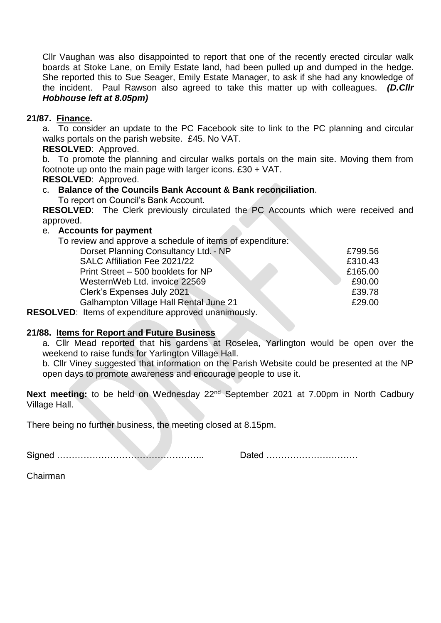Cllr Vaughan was also disappointed to report that one of the recently erected circular walk boards at Stoke Lane, on Emily Estate land, had been pulled up and dumped in the hedge. She reported this to Sue Seager, Emily Estate Manager, to ask if she had any knowledge of the incident. Paul Rawson also agreed to take this matter up with colleagues. *(D.Cllr Hobhouse left at 8.05pm)*

#### **21/87. Finance.**

a. To consider an update to the PC Facebook site to link to the PC planning and circular walks portals on the parish website. £45. No VAT.

#### **RESOLVED**: Approved.

b. To promote the planning and circular walks portals on the main site. Moving them from footnote up onto the main page with larger icons. £30 + VAT.

#### **RESOLVED**: Approved.

# c. **Balance of the Councils Bank Account & Bank reconciliation**.

To report on Council's Bank Account.

**RESOLVED**: The Clerk previously circulated the PC Accounts which were received and approved.

#### e. **Accounts for payment**

| To review and approve a schedule of items of expenditure:                                                     |         |
|---------------------------------------------------------------------------------------------------------------|---------|
| Dorset Planning Consultancy Ltd. - NP                                                                         | £799.56 |
| SALC Affiliation Fee 2021/22                                                                                  | £310.43 |
| Print Street - 500 booklets for NP                                                                            | £165.00 |
| WesternWeb Ltd. invoice 22569                                                                                 | £90.00  |
| Clerk's Expenses July 2021                                                                                    | £39.78  |
| <b>Galhampton Village Hall Rental June 21</b>                                                                 | £29.00  |
| $\mathbf{r}$ , and the state of the state of the state $\mathbf{r}$ , and the state of the state $\mathbf{r}$ |         |

**RESOLVED**: Items of expenditure approved unanimously.

#### **21/88. Items for Report and Future Business**

a. Cllr Mead reported that his gardens at Roselea, Yarlington would be open over the weekend to raise funds for Yarlington Village Hall.

b. Cllr Viney suggested that information on the Parish Website could be presented at the NP open days to promote awareness and encourage people to use it.

**Next meeting:** to be held on Wednesday 22<sup>nd</sup> September 2021 at 7.00pm in North Cadbury Village Hall.

There being no further business, the meeting closed at 8.15pm.

Signed ………………………………………….. Dated ………………………….

Chairman